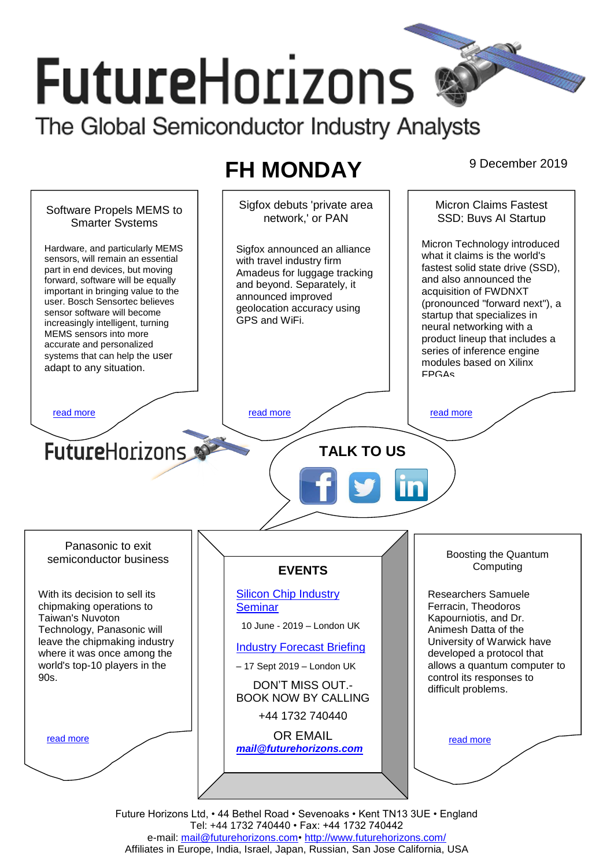# **FutureHorizons**

The Global Semiconductor Industry Analysts

## **FH MONDAY** 9 December 2019

Sigfox debuts 'private area Micron Claims Fastest Software Propels MEMS to network,' or PAN SSD; Buys AI Startup Smarter Systems Micron Technology introduced Hardware, and particularly MEMS Sigfox announced an alliance what it claims is the world's sensors, will remain an essential with travel industry firm fastest solid state drive (SSD), part in end devices, but moving Amadeus for luggage tracking and also announced the forward, software will be equally and beyond. Separately, it acquisition of FWDNXT important in bringing value to the announced improved user. Bosch Sensortec believes (pronounced "forward next"), a geolocation accuracy using sensor software will become startup that specializes in GPS and WiFi. increasingly intelligent, turning neural networking with a MEMS sensors into more product lineup that includes a accurate and personalized series of inference engine systems that can help the user modules based on Xilinx adapt to any situation. FPGAs [read more](#page-1-1) that the second contract the second contract of the read more that the read more that the read more **Future**Horizons **TALK TO US** Panasonic to exit Boosting the Quantum semiconductor business Computing **EVENTS** [Silicon Chip Industry](http://www.futurehorizons.com/page/12/silicon-chip-training)  Researchers Samuele With its decision to sell its Ferracin, Theodoros chipmaking operations to **[Seminar](http://www.futurehorizons.com/page/12/silicon-chip-training)** Kapourniotis, and Dr. Taiwan's Nuvoton 10 June - 2019 – London UK Technology, Panasonic will Animesh Datta of the leave the chipmaking industry University of Warwick have [Industry Forecast Briefing](http://www.futurehorizons.com/page/13/Semiconductor-Market-Forecast-Seminar) where it was once among the developed a protocol that allows a quantum computer to world's top-10 players in the – 17 Sept 2019 – London UK control its responses to 90s.DON'T MISS OUT. difficult problems. BOOK NOW BY CALLING +44 1732 740440 OR EMAIL [read more](#page-1-3) [read more](#page-1-4) *[mail@futurehorizons.com](mailto:mail@futurehorizons.com)* Future Horizons Ltd, • 44 Bethel Road • Sevenoaks • Kent TN13 3UE • England

Tel: +44 1732 740440 • Fax: +44 1732 740442 e-mail: [mail@futurehorizons.com•](../FH%20Monday%20-%202017/mail@futurehorizons.com)<http://www.futurehorizons.com/> Affiliates in Europe, India, Israel, Japan, Russian, San Jose California, USA